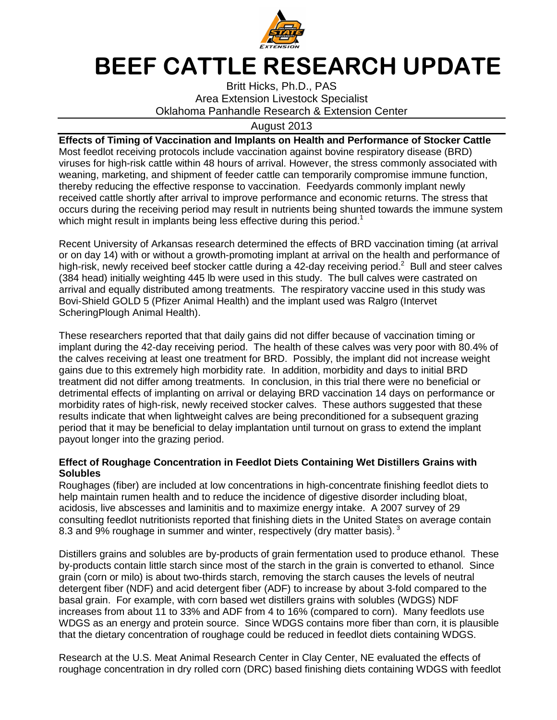

## **BEEF CATTLE RESEARCH UPDATE**

Britt Hicks, Ph.D., PAS Area Extension Livestock Specialist Oklahoma Panhandle Research & Extension Center

## August 2013

**Effects of Timing of Vaccination and Implants on Health and Performance of Stocker Cattle**  Most feedlot receiving protocols include vaccination against bovine respiratory disease (BRD) viruses for high-risk cattle within 48 hours of arrival. However, the stress commonly associated with weaning, marketing, and shipment of feeder cattle can temporarily compromise immune function, thereby reducing the effective response to vaccination. Feedyards commonly implant newly received cattle shortly after arrival to improve performance and economic returns. The stress that occurs during the receiving period may result in nutrients being shunted towards the immune system which might result in implants being less effective during this period.<sup>1</sup>

Recent University of Arkansas research determined the effects of BRD vaccination timing (at arrival or on day 14) with or without a growth-promoting implant at arrival on the health and performance of high-risk, newly received beef stocker cattle during a 42-day receiving period.<sup>2</sup> Bull and steer calves (384 head) initially weighting 445 lb were used in this study. The bull calves were castrated on arrival and equally distributed among treatments. The respiratory vaccine used in this study was Bovi-Shield GOLD 5 (Pfizer Animal Health) and the implant used was Ralgro (Intervet ScheringPlough Animal Health).

These researchers reported that that daily gains did not differ because of vaccination timing or implant during the 42-day receiving period. The health of these calves was very poor with 80.4% of the calves receiving at least one treatment for BRD. Possibly, the implant did not increase weight gains due to this extremely high morbidity rate. In addition, morbidity and days to initial BRD treatment did not differ among treatments. In conclusion, in this trial there were no beneficial or detrimental effects of implanting on arrival or delaying BRD vaccination 14 days on performance or morbidity rates of high-risk, newly received stocker calves. These authors suggested that these results indicate that when lightweight calves are being preconditioned for a subsequent grazing period that it may be beneficial to delay implantation until turnout on grass to extend the implant payout longer into the grazing period.

## **Effect of Roughage Concentration in Feedlot Diets Containing Wet Distillers Grains with Solubles**

Roughages (fiber) are included at low concentrations in high-concentrate finishing feedlot diets to help maintain rumen health and to reduce the incidence of digestive disorder including bloat, acidosis, live abscesses and laminitis and to maximize energy intake. A 2007 survey of 29 consulting feedlot nutritionists reported that finishing diets in the United States on average contain 8.3 and 9% roughage in summer and winter, respectively (dry matter basis).  $3$ 

Distillers grains and solubles are by-products of grain fermentation used to produce ethanol. These by-products contain little starch since most of the starch in the grain is converted to ethanol. Since grain (corn or milo) is about two-thirds starch, removing the starch causes the levels of neutral detergent fiber (NDF) and acid detergent fiber (ADF) to increase by about 3-fold compared to the basal grain. For example, with corn based wet distillers grains with solubles (WDGS) NDF increases from about 11 to 33% and ADF from 4 to 16% (compared to corn). Many feedlots use WDGS as an energy and protein source. Since WDGS contains more fiber than corn, it is plausible that the dietary concentration of roughage could be reduced in feedlot diets containing WDGS.

Research at the U.S. Meat Animal Research Center in Clay Center, NE evaluated the effects of roughage concentration in dry rolled corn (DRC) based finishing diets containing WDGS with feedlot